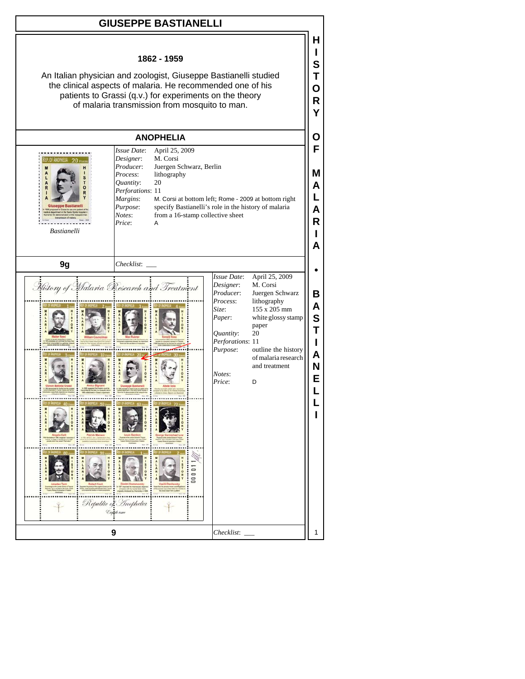